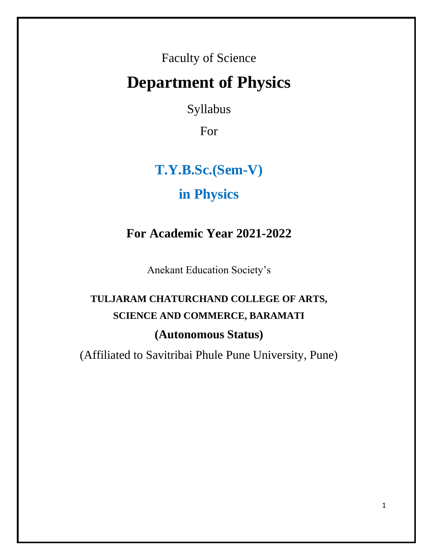Faculty of Science

# **Department of Physics**

Syllabus

For

# **T.Y.B.Sc.(Sem-V)**

# **in Physics**

# **For Academic Year 2021-2022**

Anekant Education Society's

# **TULJARAM CHATURCHAND COLLEGE OF ARTS, SCIENCE AND COMMERCE, BARAMATI (Autonomous Status)**

(Affiliated to Savitribai Phule Pune University, Pune)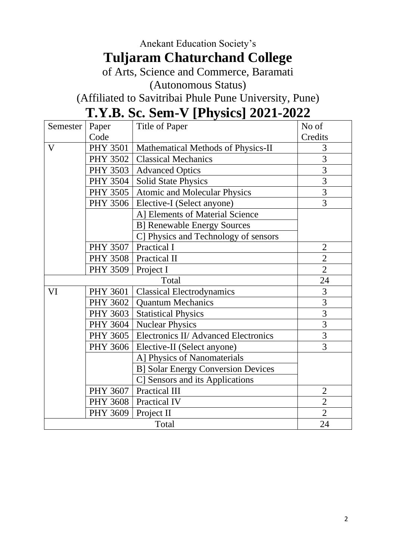# Anekant Education Society's **Tuljaram Chaturchand College**

of Arts, Science and Commerce, Baramati

(Autonomous Status)

(Affiliated to Savitribai Phule Pune University, Pune)

# **T.Y.B. Sc. Sem-V [Physics] 2021-2022**

| Semester     | Paper           | <b>Title of Paper</b>                     | No of          |
|--------------|-----------------|-------------------------------------------|----------------|
|              | Code            |                                           | Credits        |
| $\mathbf{V}$ | <b>PHY 3501</b> | Mathematical Methods of Physics-II        | 3              |
|              | <b>PHY 3502</b> | <b>Classical Mechanics</b>                | $\overline{3}$ |
|              | <b>PHY 3503</b> | <b>Advanced Optics</b>                    | $\overline{3}$ |
|              | <b>PHY 3504</b> | <b>Solid State Physics</b>                | $\overline{3}$ |
|              | PHY 3505        | <b>Atomic and Molecular Physics</b>       | $\overline{3}$ |
|              | <b>PHY 3506</b> | Elective-I (Select anyone)                | 3              |
|              |                 | A] Elements of Material Science           |                |
|              |                 | <b>B] Renewable Energy Sources</b>        |                |
|              |                 | C] Physics and Technology of sensors      |                |
|              | <b>PHY 3507</b> | <b>Practical I</b>                        | $\overline{2}$ |
|              |                 | PHY 3508   Practical II                   | $\overline{2}$ |
|              | <b>PHY 3509</b> | Project I                                 | $\overline{2}$ |
|              |                 | Total                                     | 24             |
| VI           | <b>PHY 3601</b> | <b>Classical Electrodynamics</b>          | 3              |
|              | <b>PHY 3602</b> | <b>Quantum Mechanics</b>                  | $\frac{3}{3}$  |
|              | <b>PHY 3603</b> | <b>Statistical Physics</b>                |                |
|              | PHY 3604        | <b>Nuclear Physics</b>                    | $\overline{3}$ |
|              | <b>PHY 3605</b> | Electronics II/ Advanced Electronics      | $\overline{3}$ |
|              | <b>PHY 3606</b> | Elective-II (Select anyone)               | $\overline{3}$ |
|              |                 | A] Physics of Nanomaterials               |                |
|              |                 | <b>B] Solar Energy Conversion Devices</b> |                |
|              |                 | C] Sensors and its Applications           |                |
|              | <b>PHY 3607</b> | Practical III                             | $\overline{2}$ |
|              | <b>PHY 3608</b> | Practical IV                              | $\overline{2}$ |
|              | <b>PHY 3609</b> | Project II                                | $\overline{2}$ |
| Total        |                 |                                           | 24             |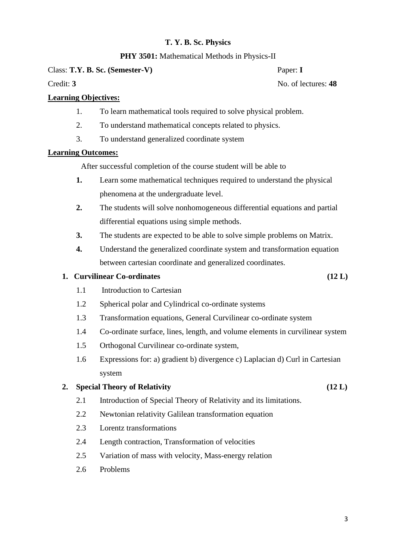# **PHY 3501:** Mathematical Methods in Physics-II

Class: **T.Y. B. Sc. (Semester-V)** Paper: **I** 

Credit: **3** No. of lectures: **48** 

# **Learning Objectives:**

- 1. To learn mathematical tools required to solve physical problem.
- 2. To understand mathematical concepts related to physics.
- 3. To understand generalized coordinate system

# **Learning Outcomes:**

After successful completion of the course student will be able to

- **1.** Learn some mathematical techniques required to understand the physical phenomena at the undergraduate level.
- **2.** The students will solve nonhomogeneous differential equations and partial differential equations using simple methods.
- **3.** The students are expected to be able to solve simple problems on Matrix.
- **4.** Understand the generalized coordinate system and transformation equation between cartesian coordinate and generalized coordinates.

# **1. Curvilinear Co-ordinates (12 L)**

- 1.1 Introduction to Cartesian
- 1.2 Spherical polar and Cylindrical co-ordinate systems
- 1.3 Transformation equations, General Curvilinear co-ordinate system
- 1.4 Co-ordinate surface, lines, length, and volume elements in curvilinear system
- 1.5 Orthogonal Curvilinear co-ordinate system,
- 1.6 Expressions for: a) gradient b) divergence c) Laplacian d) Curl in Cartesian system

# **2. Special Theory of Relativity (12 L)**

- 2.1 Introduction of Special Theory of Relativity and its limitations.
- 2.2 Newtonian relativity Galilean transformation equation
- 2.3 Lorentz transformations
- 2.4 Length contraction, Transformation of velocities
- 2.5 Variation of mass with velocity, Mass-energy relation
- 2.6 Problems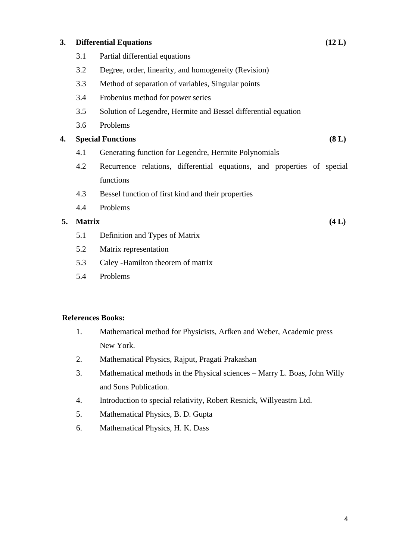### **3. Differential Equations (12 L)**

- 3.1 Partial differential equations
- 3.2 Degree, order, linearity, and homogeneity (Revision)
- 3.3 Method of separation of variables, Singular points
- 3.4 Frobenius method for power series
- 3.5 Solution of Legendre, Hermite and Bessel differential equation
- 3.6 Problems

### **4. Special Functions (8 L)**

- 4.1 Generating function for Legendre, Hermite Polynomials
- 4.2 Recurrence relations, differential equations, and properties of special functions
- 4.3 Bessel function of first kind and their properties
- 4.4 Problems

### **5. Matrix (4 L)**

- 5.1 Definition and Types of Matrix
- 5.2 Matrix representation
- 5.3 Caley -Hamilton theorem of matrix
- 5.4 Problems

#### **References Books:**

- 1. Mathematical method for Physicists, Arfken and Weber, Academic press New York.
- 2. Mathematical Physics, Rajput, Pragati Prakashan
- 3. Mathematical methods in the Physical sciences Marry L. Boas, John Willy and Sons Publication.
- 4. Introduction to special relativity, Robert Resnick, Willyeastrn Ltd.
- 5. Mathematical Physics, B. D. Gupta
- 6. Mathematical Physics, H. K. Dass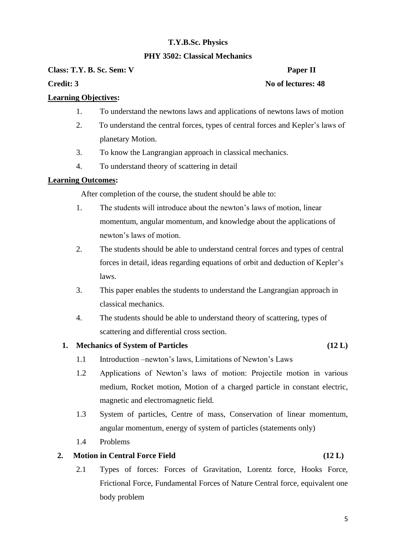# **PHY 3502: Classical Mechanics**

**Class: T.Y. B. Sc. Sem: V Paper II** 

# **Credit: 3** No of lectures: 48

# **Learning Objectives:**

- 1. To understand the newtons laws and applications of newtons laws of motion
- 2. To understand the central forces, types of central forces and Kepler's laws of planetary Motion.
- 3. To know the Langrangian approach in classical mechanics.
- 4. To understand theory of scattering in detail

# **Learning Outcomes:**

After completion of the course, the student should be able to:

- 1. The students will introduce about the newton's laws of motion, linear momentum, angular momentum, and knowledge about the applications of newton's laws of motion.
- 2. The students should be able to understand central forces and types of central forces in detail, ideas regarding equations of orbit and deduction of Kepler's laws.
- 3. This paper enables the students to understand the Langrangian approach in classical mechanics.
- 4. The students should be able to understand theory of scattering, types of scattering and differential cross section.

# **1. Mechanics of System of Particles (12 L)**

- 1.1 Introduction –newton's laws, Limitations of Newton's Laws
- 1.2 Applications of Newton's laws of motion: Projectile motion in various medium, Rocket motion, Motion of a charged particle in constant electric, magnetic and electromagnetic field.
- 1.3 System of particles, Centre of mass, Conservation of linear momentum, angular momentum, energy of system of particles (statements only)
- 1.4 Problems

# **2. Motion in Central Force Field (12 L)**

2.1 Types of forces: Forces of Gravitation, Lorentz force, Hooks Force, Frictional Force, Fundamental Forces of Nature Central force, equivalent one body problem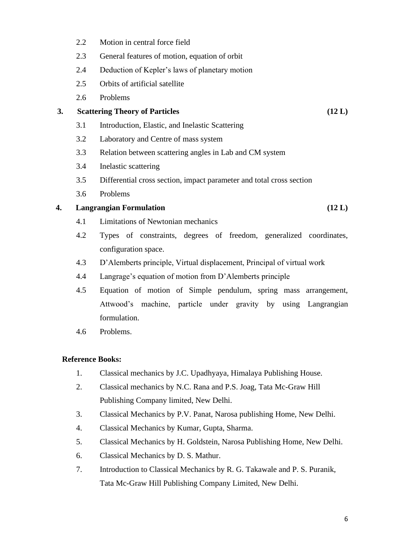- 2.2 Motion in central force field
- 2.3 General features of motion, equation of orbit
- 2.4 Deduction of Kepler's laws of planetary motion
- 2.5 Orbits of artificial satellite
- 2.6 Problems

# **3. Scattering Theory of Particles (12 L)**

- 3.1 Introduction, Elastic, and Inelastic Scattering
- 3.2 Laboratory and Centre of mass system
- 3.3 Relation between scattering angles in Lab and CM system
- 3.4 Inelastic scattering
- 3.5 Differential cross section, impact parameter and total cross section
- 3.6 Problems

# **4. Langrangian Formulation (12 L)**

- 4.1 Limitations of Newtonian mechanics
- 4.2 Types of constraints, degrees of freedom, generalized coordinates, configuration space.
- 4.3 D'Alemberts principle, Virtual displacement, Principal of virtual work
- 4.4 Langrage's equation of motion from D'Alemberts principle
- 4.5 Equation of motion of Simple pendulum, spring mass arrangement, Attwood's machine, particle under gravity by using Langrangian formulation.
- 4.6 Problems.

# **Reference Books:**

- 1. Classical mechanics by J.C. Upadhyaya, Himalaya Publishing House.
- 2. Classical mechanics by N.C. Rana and P.S. Joag, Tata Mc-Graw Hill Publishing Company limited, New Delhi.
- 3. Classical Mechanics by P.V. Panat, Narosa publishing Home, New Delhi.
- 4. Classical Mechanics by Kumar, Gupta, Sharma.
- 5. Classical Mechanics by H. Goldstein, Narosa Publishing Home, New Delhi.
- 6. Classical Mechanics by D. S. Mathur.
- 7. Introduction to Classical Mechanics by R. G. Takawale and P. S. Puranik, Tata Mc-Graw Hill Publishing Company Limited, New Delhi.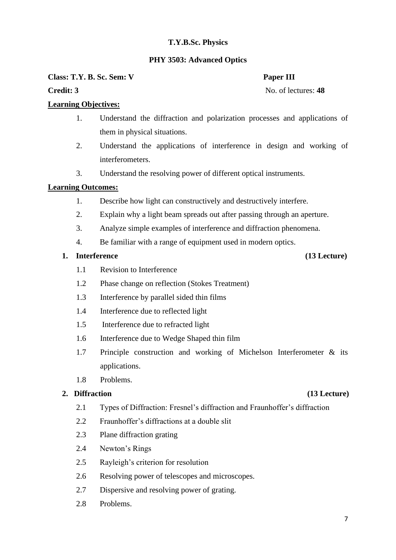# **PHY 3503: Advanced Optics**

**Class: T.Y. B. Sc. Sem: V Paper III** 

**Credit: 3** No. of lectures: 48

# **Learning Objectives:**

- 1. Understand the diffraction and polarization processes and applications of them in physical situations.
- 2. Understand the applications of interference in design and working of interferometers.
- 3. Understand the resolving power of different optical instruments.

# **Learning Outcomes:**

- 1. Describe how light can constructively and destructively interfere.
- 2. Explain why a light beam spreads out after passing through an aperture.
- 3. Analyze simple examples of interference and diffraction phenomena.
- 4. Be familiar with a range of equipment used in modern optics.

# **1. Interference (13 Lecture)**

- 1.1 Revision to Interference
- 1.2 Phase change on reflection (Stokes Treatment)
- 1.3 Interference by parallel sided thin films
- 1.4 Interference due to reflected light
- 1.5 Interference due to refracted light
- 1.6 Interference due to Wedge Shaped thin film
- 1.7 Principle construction and working of Michelson Interferometer & its applications.
- 1.8 Problems.

# **2. Diffraction (13 Lecture)**

- 2.1 Types of Diffraction: Fresnel's diffraction and Fraunhoffer's diffraction
- 2.2 Fraunhoffer's diffractions at a double slit
- 2.3 Plane diffraction grating
- 2.4 Newton's Rings
- 2.5 Rayleigh's criterion for resolution
- 2.6 Resolving power of telescopes and microscopes.
- 2.7 Dispersive and resolving power of grating.
- 2.8 Problems.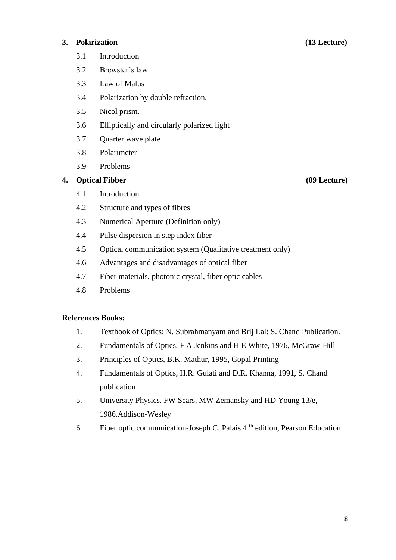### **3. Polarization (13 Lecture)**

8

# 3.1 Introduction

- 3.2 Brewster's law
- 3.3 Law of Malus
- 3.4 Polarization by double refraction.
- 3.5 Nicol prism.
- 3.6 Elliptically and circularly polarized light
- 3.7 Quarter wave plate
- 3.8 Polarimeter
- 3.9 Problems

#### **4. Optical Fibber (09 Lecture)**

- 4.1 Introduction
- 4.2 Structure and types of fibres
- 4.3 Numerical Aperture (Definition only)
- 4.4 Pulse dispersion in step index fiber
- 4.5 Optical communication system (Qualitative treatment only)
- 4.6 Advantages and disadvantages of optical fiber
- 4.7 Fiber materials, photonic crystal, fiber optic cables
- 4.8 Problems

#### **References Books:**

- 1. Textbook of Optics: N. Subrahmanyam and Brij Lal: S. Chand Publication.
- 2. Fundamentals of Optics, F A Jenkins and H E White, 1976, McGraw-Hill
- 3. Principles of Optics, B.K. Mathur, 1995, Gopal Printing
- 4. Fundamentals of Optics, H.R. Gulati and D.R. Khanna, 1991, S. Chand publication
- 5. University Physics. FW Sears, MW Zemansky and HD Young 13/e, 1986.Addison-Wesley
- 6. Fiber optic communication-Joseph C. Palais 4 th edition, Pearson Education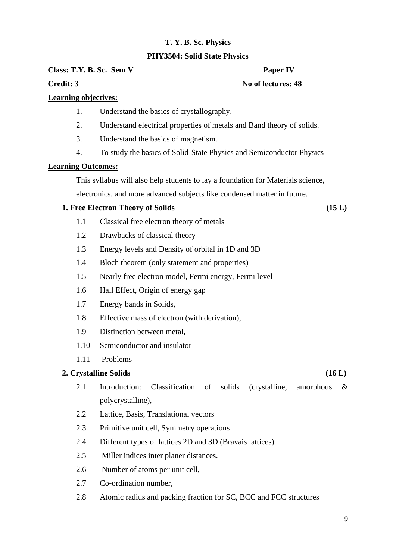# **PHY3504: Solid State Physics**

**Class: T.Y. B. Sc. Sem V Paper IV** 

**Credit: 3** No of lectures: 48

# **Learning objectives:**

- 1. Understand the basics of crystallography.
- 2. Understand electrical properties of metals and Band theory of solids.
- 3. Understand the basics of magnetism.
- 4. To study the basics of Solid-State Physics and Semiconductor Physics

# **Learning Outcomes:**

This syllabus will also help students to lay a foundation for Materials science, electronics, and more advanced subjects like condensed matter in future.

# **1. Free Electron Theory of Solids (15 L)**

- 1.1 Classical free electron theory of metals
- 1.2 Drawbacks of classical theory
- 1.3 Energy levels and Density of orbital in 1D and 3D
- 1.4 Bloch theorem (only statement and properties)
- 1.5 Nearly free electron model, Fermi energy, Fermi level
- 1.6 Hall Effect, Origin of energy gap
- 1.7 Energy bands in Solids,
- 1.8 Effective mass of electron (with derivation),
- 1.9 Distinction between metal,
- 1.10 Semiconductor and insulator
- 1.11 Problems

# **2. Crystalline Solids (16 L)**

- 2.1 Introduction: Classification of solids (crystalline, amorphous & polycrystalline),
- 2.2 Lattice, Basis, Translational vectors
- 2.3 Primitive unit cell, Symmetry operations
- 2.4 Different types of lattices 2D and 3D (Bravais lattices)
- 2.5 Miller indices inter planer distances.
- 2.6 Number of atoms per unit cell,
- 2.7 Co-ordination number,
- 2.8 Atomic radius and packing fraction for SC, BCC and FCC structures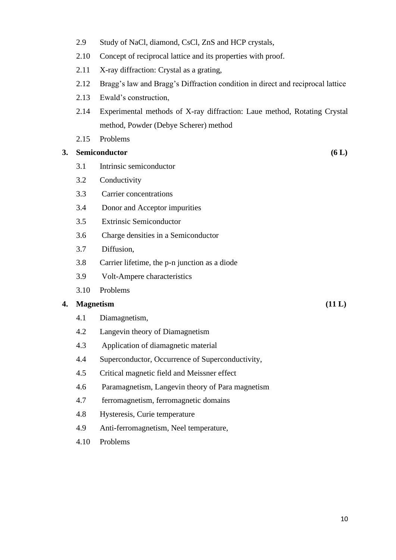- 2.9 Study of NaCl, diamond, CsCl, ZnS and HCP crystals,
- 2.10 Concept of reciprocal lattice and its properties with proof.
- 2.11 X-ray diffraction: Crystal as a grating,
- 2.12 Bragg's law and Bragg's Diffraction condition in direct and reciprocal lattice
- 2.13 Ewald's construction,
- 2.14 Experimental methods of X-ray diffraction: Laue method, Rotating Crystal method, Powder (Debye Scherer) method
- 2.15 Problems

# **3. Semiconductor (6 L)**

- 3.1 Intrinsic semiconductor
- 3.2 Conductivity
- 3.3 Carrier concentrations
- 3.4 Donor and Acceptor impurities
- 3.5 Extrinsic Semiconductor
- 3.6 Charge densities in a Semiconductor
- 3.7 Diffusion,
- 3.8 Carrier lifetime, the p-n junction as a diode
- 3.9 Volt-Ampere characteristics
- 3.10 Problems

### **4. Magnetism (11 L)**

- 4.1 Diamagnetism,
- 4.2 Langevin theory of Diamagnetism
- 4.3 Application of diamagnetic material
- 4.4 Superconductor, Occurrence of Superconductivity,
- 4.5 Critical magnetic field and Meissner effect
- 4.6 Paramagnetism, Langevin theory of Para magnetism
- 4.7 ferromagnetism, ferromagnetic domains
- 4.8 Hysteresis, Curie temperature
- 4.9 Anti-ferromagnetism, Neel temperature,
- 4.10 Problems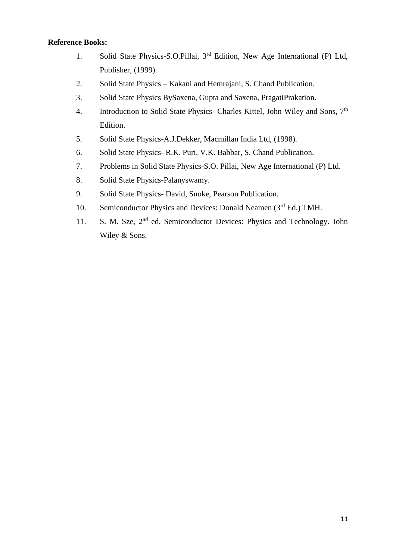# **Reference Books:**

- 1. Solid State Physics-S.O.Pillai, 3rd Edition, New Age International (P) Ltd, Publisher, (1999).
- 2. Solid State Physics Kakani and Hemrajani, S. Chand Publication.
- 3. Solid State Physics BySaxena, Gupta and Saxena, PragatiPrakation.
- 4. Introduction to Solid State Physics- Charles Kittel, John Wiley and Sons, 7<sup>th</sup> Edition.
- 5. Solid State Physics-A.J.Dekker, Macmillan India Ltd, (1998).
- 6. Solid State Physics- R.K. Puri, V.K. Babbar, S. Chand Publication.
- 7. Problems in Solid State Physics-S.O. Pillai, New Age International (P) Ltd.
- 8. Solid State Physics-Palanyswamy.
- 9. Solid State Physics- David, Snoke, Pearson Publication.
- 10. Semiconductor Physics and Devices: Donald Neamen (3<sup>rd</sup> Ed.) TMH.
- 11. S. M. Sze, 2<sup>nd</sup> ed, Semiconductor Devices: Physics and Technology. John Wiley & Sons.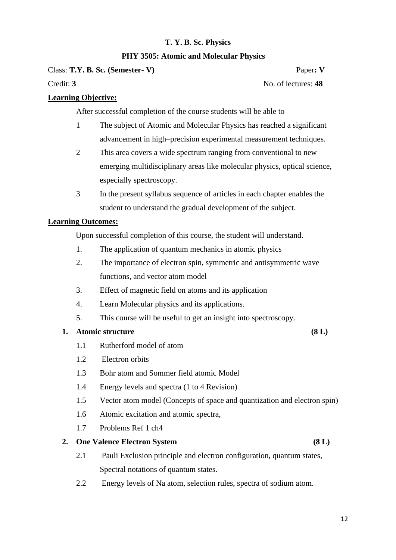# **PHY 3505: Atomic and Molecular Physics**

Class: **T.Y. B. Sc. (Semester- V)** Paper**: V**

Credit: **3** No. of lectures: **48** 

# **Learning Objective:**

After successful completion of the course students will be able to

- 1 The subject of Atomic and Molecular Physics has reached a significant advancement in high–precision experimental measurement techniques.
- 2 This area covers a wide spectrum ranging from conventional to new emerging multidisciplinary areas like molecular physics, optical science, especially spectroscopy.
- 3 In the present syllabus sequence of articles in each chapter enables the student to understand the gradual development of the subject.

# **Learning Outcomes:**

Upon successful completion of this course, the student will understand.

- 1. The application of quantum mechanics in atomic physics
- 2. The importance of electron spin, symmetric and antisymmetric wave functions, and vector atom model
- 3. Effect of magnetic field on atoms and its application
- 4. Learn Molecular physics and its applications.
- 5. This course will be useful to get an insight into spectroscopy.

# **1. Atomic structure (8 L)**

- 1.1 Rutherford model of atom
- 1.2 Electron orbits
- 1.3 Bohr atom and Sommer field atomic Model
- 1.4 Energy levels and spectra (1 to 4 Revision)
- 1.5 Vector atom model (Concepts of space and quantization and electron spin)
- 1.6 Atomic excitation and atomic spectra,
- 1.7 Problems Ref 1 ch4

#### **2. One Valence Electron System (8 L)**

- 2.1 Pauli Exclusion principle and electron configuration, quantum states, Spectral notations of quantum states.
- 2.2 Energy levels of Na atom, selection rules, spectra of sodium atom.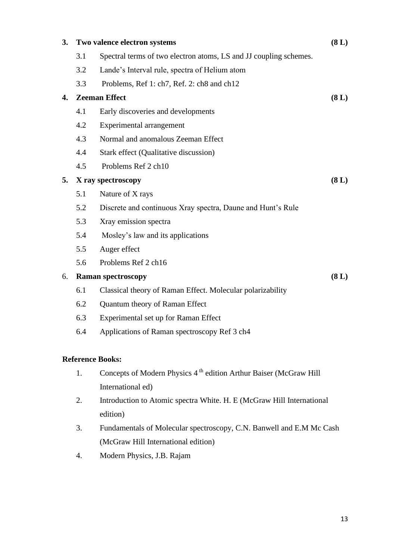| 3. |                         | Two valence electron systems                                                  |       |  |  |  |
|----|-------------------------|-------------------------------------------------------------------------------|-------|--|--|--|
|    | 3.1                     | Spectral terms of two electron atoms, LS and JJ coupling schemes.             |       |  |  |  |
|    | 3.2                     | Lande's Interval rule, spectra of Helium atom                                 |       |  |  |  |
|    | 3.3                     | Problems, Ref 1: ch7, Ref. 2: ch8 and ch12                                    |       |  |  |  |
| 4. |                         | <b>Zeeman Effect</b>                                                          | (8 L) |  |  |  |
|    | 4.1                     | Early discoveries and developments                                            |       |  |  |  |
|    | 4.2                     | Experimental arrangement                                                      |       |  |  |  |
|    | 4.3                     | Normal and anomalous Zeeman Effect                                            |       |  |  |  |
|    | 4.4                     | Stark effect (Qualitative discussion)                                         |       |  |  |  |
|    | 4.5                     | Problems Ref 2 ch10                                                           |       |  |  |  |
| 5. |                         | X ray spectroscopy                                                            | (8 L) |  |  |  |
|    | 5.1                     | Nature of X rays                                                              |       |  |  |  |
|    | 5.2                     | Discrete and continuous Xray spectra, Daune and Hunt's Rule                   |       |  |  |  |
|    | 5.3                     | Xray emission spectra                                                         |       |  |  |  |
|    | 5.4                     | Mosley's law and its applications                                             |       |  |  |  |
|    | 5.5                     | Auger effect                                                                  |       |  |  |  |
|    | 5.6                     | Problems Ref 2 ch16                                                           |       |  |  |  |
| 6. |                         | <b>Raman spectroscopy</b>                                                     | (8 L) |  |  |  |
|    | 6.1                     | Classical theory of Raman Effect. Molecular polarizability                    |       |  |  |  |
|    | 6.2                     | Quantum theory of Raman Effect                                                |       |  |  |  |
|    | 6.3                     | Experimental set up for Raman Effect                                          |       |  |  |  |
|    | 6.4                     | Applications of Raman spectroscopy Ref 3 ch4                                  |       |  |  |  |
|    |                         |                                                                               |       |  |  |  |
|    | <b>Reference Books:</b> |                                                                               |       |  |  |  |
|    | 1.                      | Concepts of Modern Physics 4 <sup>th</sup> edition Arthur Baiser (McGraw Hill |       |  |  |  |
|    |                         | International ed)                                                             |       |  |  |  |

- 2. Introduction to Atomic spectra White. H. E (McGraw Hill International edition)
- 3. Fundamentals of Molecular spectroscopy, C.N. Banwell and E.M Mc Cash (McGraw Hill International edition)
- 4. Modern Physics, J.B. Rajam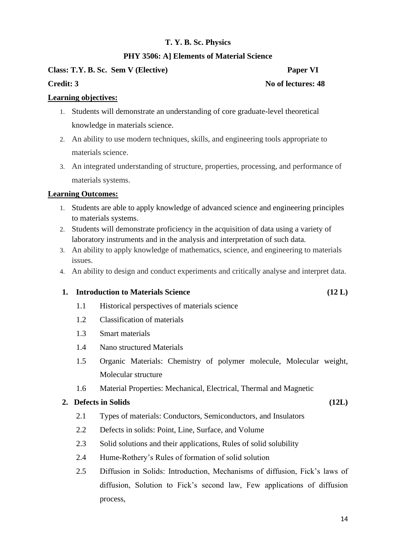# **PHY 3506: A] Elements of Material Science**

# **Class: T.Y. B. Sc. Sem V (Elective) Paper VI**

# **Credit: 3** No of lectures: 48

# **Learning objectives:**

- 1. Students will demonstrate an understanding of core graduate-level theoretical knowledge in materials science.
- 2. An ability to use modern techniques, skills, and engineering tools appropriate to materials science.
- 3. An integrated understanding of structure, properties, processing, and performance of materials systems.

### **Learning Outcomes:**

- 1. Students are able to apply knowledge of advanced science and engineering principles to materials systems.
- 2. Students will demonstrate proficiency in the acquisition of data using a variety of laboratory instruments and in the analysis and interpretation of such data.
- 3. An ability to apply knowledge of mathematics, science, and engineering to materials issues.
- 4. An ability to design and conduct experiments and critically analyse and interpret data.

#### **1. Introduction to Materials Science (12 L)**

- 1.1 Historical perspectives of materials science
- 1.2 Classification of materials
- 1.3 Smart materials
- 1.4 Nano structured Materials
- 1.5 Organic Materials: Chemistry of polymer molecule, Molecular weight, Molecular structure
- 1.6 Material Properties: Mechanical, Electrical, Thermal and Magnetic

#### **2. Defects in Solids (12L)**

- 2.1 Types of materials: Conductors, Semiconductors, and Insulators
- 2.2 Defects in solids: Point, Line, Surface, and Volume
- 2.3 Solid solutions and their applications, Rules of solid solubility
- 2.4 Hume-Rothery's Rules of formation of solid solution
- 2.5 Diffusion in Solids: Introduction, Mechanisms of diffusion, Fick's laws of diffusion, Solution to Fick's second law, Few applications of diffusion process,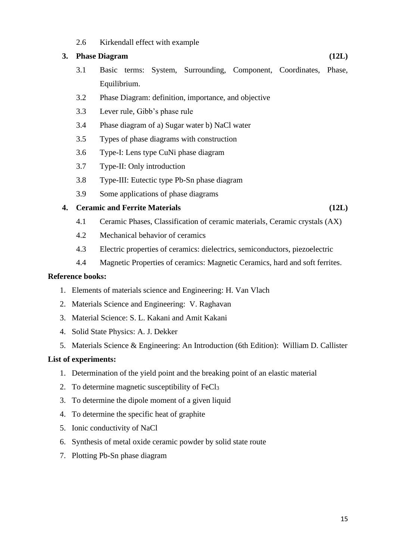2.6 Kirkendall effect with example

# **3. Phase Diagram (12L)**

- 3.1 Basic terms: System, Surrounding, Component, Coordinates, Phase, Equilibrium.
- 3.2 Phase Diagram: definition, importance, and objective
- 3.3 Lever rule, Gibb's phase rule
- 3.4 Phase diagram of a) Sugar water b) NaCl water
- 3.5 Types of phase diagrams with construction
- 3.6 Type-I: Lens type CuNi phase diagram
- 3.7 Type-II: Only introduction
- 3.8 Type-III: Eutectic type Pb-Sn phase diagram
- 3.9 Some applications of phase diagrams

# **4. Ceramic and Ferrite Materials (12L)**

- 4.1 Ceramic Phases, Classification of ceramic materials, Ceramic crystals (AX)
- 4.2 Mechanical behavior of ceramics
- 4.3 Electric properties of ceramics: dielectrics, semiconductors, piezoelectric
- 4.4 Magnetic Properties of ceramics: Magnetic Ceramics, hard and soft ferrites.

### **Reference books:**

- 1. Elements of materials science and Engineering: H. Van Vlach
- 2. Materials Science and Engineering: V. Raghavan
- 3. Material Science: S. L. Kakani and Amit Kakani
- 4. Solid State Physics: A. J. Dekker
- 5. Materials Science & Engineering: An Introduction (6th Edition): William D. Callister

#### **List of experiments:**

- 1. Determination of the yield point and the breaking point of an elastic material
- 2. To determine magnetic susceptibility of FeCl<sub>3</sub>
- 3. To determine the dipole moment of a given liquid
- 4. To determine the specific heat of graphite
- 5. Ionic conductivity of NaCl
- 6. Synthesis of metal oxide ceramic powder by solid state route
- 7. Plotting Pb-Sn phase diagram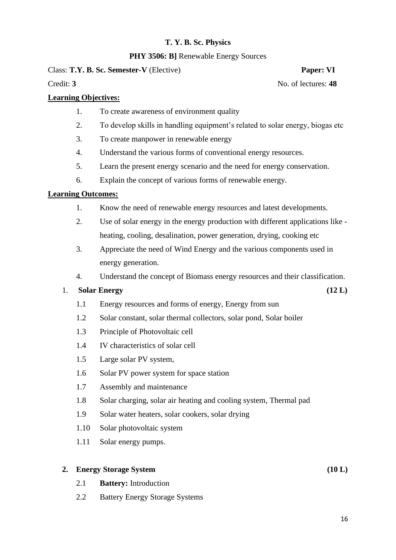# **PHY 3506: B] Renewable Energy Sources**

# Class: **T.Y. B. Sc. Semester-V** (Elective) **Paper: VI**

Credit: **3** No. of lectures: **48** 

# **Learning Objectives:**

- 1. To create awareness of environment quality
- 2. To develop skills in handling equipment's related to solar energy, biogas etc
- 3. To create manpower in renewable energy
- 4. Understand the various forms of conventional energy resources.
- 5. Learn the present energy scenario and the need for energy conservation.
- 6. Explain the concept of various forms of renewable energy.

# **Learning Outcomes:**

- 1. Know the need of renewable energy resources and latest developments.
- 2. Use of solar energy in the energy production with different applications like heating, cooling, desalination, power generation, drying, cooking etc
- 3. Appreciate the need of Wind Energy and the various components used in energy generation.
- 4. Understand the concept of Biomass energy resources and their classification.

# 1. **Solar Energy (12 L)**

- 1.1 Energy resources and forms of energy, Energy from sun
- 1.2 Solar constant, solar thermal collectors, solar pond, Solar boiler
- 1.3 Principle of Photovoltaic cell
- 1.4 IV characteristics of solar cell
- 1.5 Large solar PV system,
- 1.6 Solar PV power system for space station
- 1.7 Assembly and maintenance
- 1.8 Solar charging, solar air heating and cooling system, Thermal pad
- 1.9 Solar water heaters, solar cookers, solar drying
- 1.10 Solar photovoltaic system
- 1.11 Solar energy pumps.

# **2. Energy Storage System (10 L)**

- 2.1 **Battery:** Introduction
- 2.2 Battery Energy Storage Systems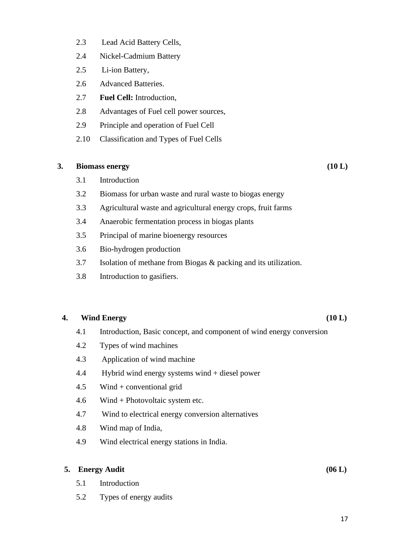- 2.3 Lead Acid Battery Cells,
- 2.4 Nickel-Cadmium Battery
- 2.5 Li-ion Battery,
- 2.6 Advanced Batteries.
- 2.7 **Fuel Cell:** Introduction,
- 2.8 Advantages of Fuel cell power sources,
- 2.9 Principle and operation of Fuel Cell
- 2.10 Classification and Types of Fuel Cells

### **3. Biomass energy (10 L)**

- 3.1 Introduction
- 3.2 Biomass for urban waste and rural waste to biogas energy
- 3.3 Agricultural waste and agricultural energy crops, fruit farms
- 3.4 Anaerobic fermentation process in biogas plants
- 3.5 Principal of marine bioenergy resources
- 3.6 Bio-hydrogen production
- 3.7 Isolation of methane from Biogas & packing and its utilization.
- 3.8 Introduction to gasifiers.

### **4. Wind Energy (10 L)**

- 4.1 Introduction, Basic concept, and component of wind energy conversion
- 4.2 Types of wind machines
- 4.3 Application of wind machine
- 4.4 Hybrid wind energy systems wind + diesel power
- 4.5 Wind + conventional grid
- 4.6 Wind + Photovoltaic system etc.
- 4.7 Wind to electrical energy conversion alternatives
- 4.8 Wind map of India,
- 4.9 Wind electrical energy stations in India.

# **5. Energy Audit (06 L)**

- 5.1 Introduction
- 5.2 Types of energy audits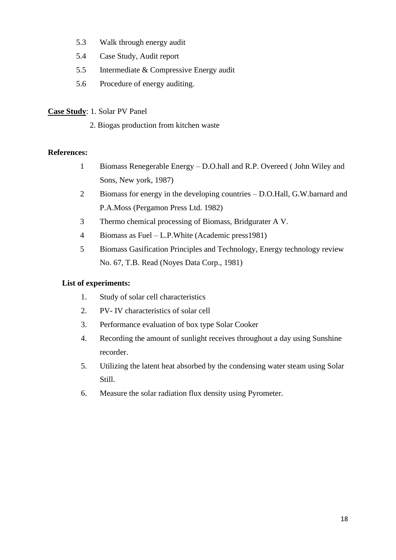- 5.3 Walk through energy audit
- 5.4 Case Study, Audit report
- 5.5 Intermediate & Compressive Energy audit
- 5.6 Procedure of energy auditing.

# **Case Study**: 1. Solar PV Panel

2. Biogas production from kitchen waste

# **References:**

- 1 Biomass Renegerable Energy D.O.hall and R.P. Overeed ( John Wiley and Sons, New york, 1987)
- 2 Biomass for energy in the developing countries D.O.Hall, G.W.barnard and P.A.Moss (Pergamon Press Ltd. 1982)
- 3 Thermo chemical processing of Biomass, Bridgurater A V.
- 4 Biomass as Fuel L.P.White (Academic press1981)
- 5 Biomass Gasification Principles and Technology, Energy technology review No. 67, T.B. Read (Noyes Data Corp., 1981)

# **List of experiments:**

- 1. Study of solar cell characteristics
- 2. PV- IV characteristics of solar cell
- 3. Performance evaluation of box type Solar Cooker
- 4. Recording the amount of sunlight receives throughout a day using Sunshine recorder.
- 5. Utilizing the latent heat absorbed by the condensing water steam using Solar Still.
- 6. Measure the solar radiation flux density using Pyrometer.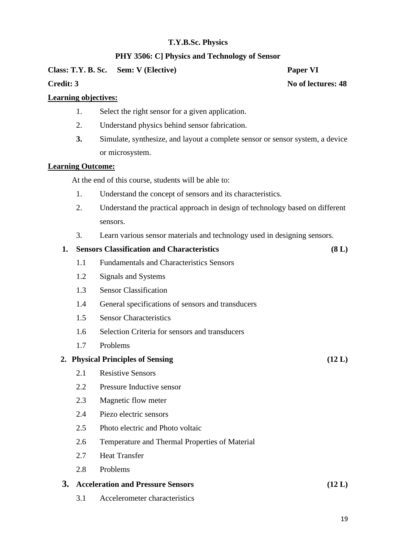# **PHY 3506: C] Physics and Technology of Sensor**

**Class: T.Y. B. Sc. Sem: V (Elective) Paper VI**

**Credit: 3** No of lectures: 48

# **Learning objectives:**

- 1. Select the right sensor for a given application.
- 2. Understand physics behind sensor fabrication.
- **3.** Simulate, synthesize, and layout a complete sensor or sensor system, a device or microsystem.

# **Learning Outcome:**

At the end of this course, students will be able to:

- 1. Understand the concept of sensors and its characteristics.
- 2. Understand the practical approach in design of technology based on different sensors.
- 3. Learn various sensor materials and technology used in designing sensors.

# **1. Sensors Classification and Characteristics (8 L)**

- 1.1 Fundamentals and Characteristics Sensors
- 1.2 Signals and Systems
- 1.3 Sensor Classification
- 1.4 General specifications of sensors and transducers
- 1.5 Sensor Characteristics
- 1.6 Selection Criteria for sensors and transducers
- 1.7 Problems

# **2. Physical Principles of Sensing (12 L)**

- 2.1 Resistive Sensors
- 2.2 Pressure Inductive sensor
- 2.3 Magnetic flow meter
- 2.4 Piezo electric sensors
- 2.5 Photo electric and Photo voltaic
- 2.6 Temperature and Thermal Properties of Material
- 2.7 Heat Transfer
- 2.8 Problems

# **3. Acceleration and Pressure Sensors (12 L)**

3.1 Accelerometer characteristics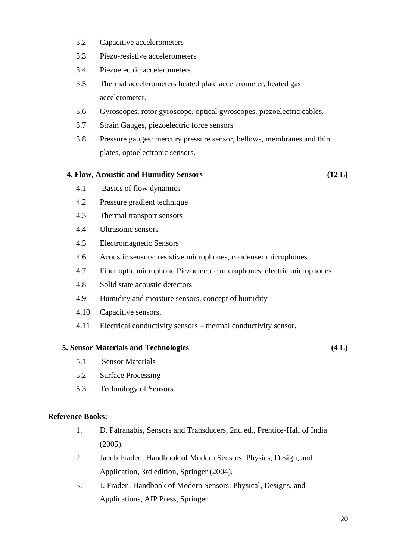- 3.2 Capacitive accelerometers
- 3.3 Piezo-resistive accelerometers
- 3.4 Piezoelectric accelerometers
- 3.5 Thermal accelerometers heated plate accelerometer, heated gas accelerometer.
- 3.6 Gyroscopes, rotor gyroscope, optical gyroscopes, piezoelectric cables.
- 3.7 Strain Gauges, piezoelectric force sensors
- 3.8 Pressure gauges: mercury pressure sensor, bellows, membranes and thin plates, optoelectronic sensors.

#### **4. Flow, Acoustic and Humidity Sensors (12 L)**

- 4.1 Basics of flow dynamics
- 4.2 Pressure gradient technique
- 4.3 Thermal transport sensors
- 4.4 Ultrasonic sensors
- 4.5 Electromagnetic Sensors
- 4.6 Acoustic sensors: resistive microphones, condenser microphones
- 4.7 Fiber optic microphone Piezoelectric microphones, electric microphones
- 4.8 Solid state acoustic detectors
- 4.9 Humidity and moisture sensors, concept of humidity
- 4.10 Capacitive sensors,
- 4.11 Electrical conductivity sensors thermal conductivity sensor.

#### **5. Sensor Materials and Technologies (4 L)**

- 5.1 Sensor Materials
- 5.2 Surface Processing
- 5.3 Technology of Sensors

#### **Reference Books:**

- 1. D. Patranabis, Sensors and Transducers, 2nd ed., Prentice-Hall of India (2005).
- 2. Jacob Fraden, Handbook of Modern Sensors: Physics, Design, and Application, 3rd edition, Springer (2004).
- 3. J. Fraden, Handbook of Modern Sensors: Physical, Designs, and Applications, AIP Press, Springer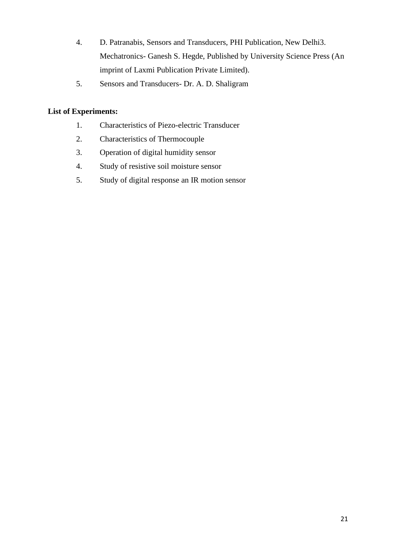- 4. D. Patranabis, Sensors and Transducers, PHI Publication, New Delhi3. Mechatronics- Ganesh S. Hegde, Published by University Science Press (An imprint of Laxmi Publication Private Limited).
- 5. Sensors and Transducers- Dr. A. D. Shaligram

# **List of Experiments:**

- 1. Characteristics of Piezo-electric Transducer
- 2. Characteristics of Thermocouple
- 3. Operation of digital humidity sensor
- 4. Study of resistive soil moisture sensor
- 5. Study of digital response an IR motion sensor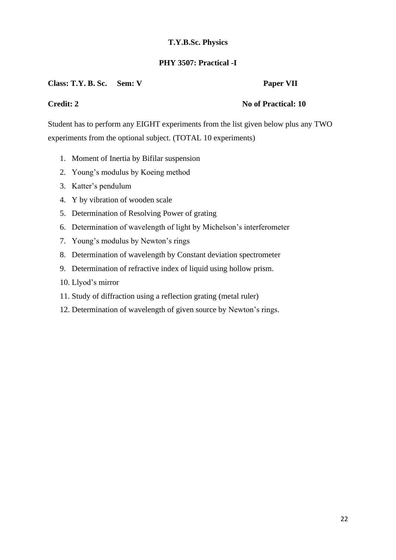# **PHY 3507: Practical -I**

# Class: T.Y. B. Sc. Sem: V Paper VII

# **Credit: 2** No of Practical: 10

Student has to perform any EIGHT experiments from the list given below plus any TWO experiments from the optional subject. (TOTAL 10 experiments)

- 1. Moment of Inertia by Bifilar suspension
- 2. Young's modulus by Koeing method
- 3. Katter's pendulum
- 4. Y by vibration of wooden scale
- 5. Determination of Resolving Power of grating
- 6. Determination of wavelength of light by Michelson's interferometer
- 7. Young's modulus by Newton's rings
- 8. Determination of wavelength by Constant deviation spectrometer
- 9. Determination of refractive index of liquid using hollow prism.
- 10. Llyod's mirror
- 11. Study of diffraction using a reflection grating (metal ruler)
- 12. Determination of wavelength of given source by Newton's rings.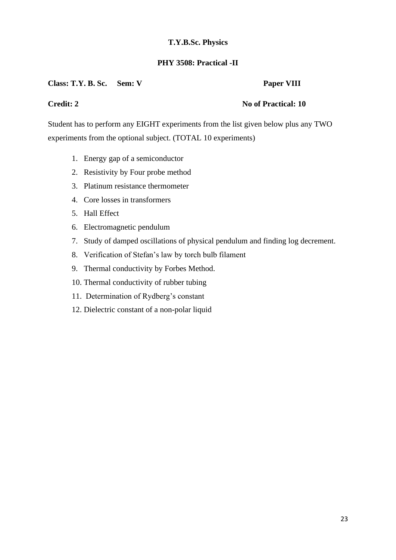# **PHY 3508: Practical -II**

# Class: T.Y. B. Sc. Sem: V Paper VIII

# **Credit: 2** No of Practical: 10

Student has to perform any EIGHT experiments from the list given below plus any TWO experiments from the optional subject. (TOTAL 10 experiments)

- 1. Energy gap of a semiconductor
- 2. Resistivity by Four probe method
- 3. Platinum resistance thermometer
- 4. Core losses in transformers
- 5. Hall Effect
- 6. Electromagnetic pendulum
- 7. Study of damped oscillations of physical pendulum and finding log decrement.
- 8. Verification of Stefan's law by torch bulb filament
- 9. Thermal conductivity by Forbes Method.
- 10. Thermal conductivity of rubber tubing
- 11. Determination of Rydberg's constant
- 12. Dielectric constant of a non-polar liquid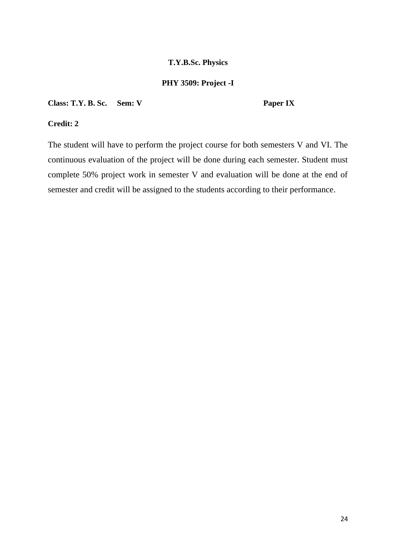### **PHY 3509: Project -I**

**Class: T.Y. B. Sc. Sem: V Paper IX**

# **Credit: 2**

The student will have to perform the project course for both semesters V and VI. The continuous evaluation of the project will be done during each semester. Student must complete 50% project work in semester V and evaluation will be done at the end of semester and credit will be assigned to the students according to their performance.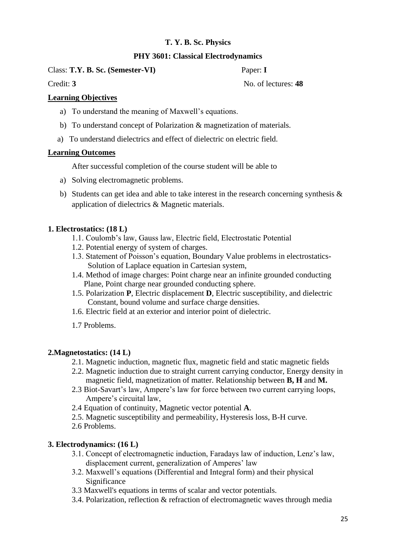# **PHY 3601: Classical Electrodynamics**

Class: **T.Y. B. Sc. (Semester-VI)** Paper: **I** 

Credit: **3** No. of lectures: **48** 

# **Learning Objectives**

- a) To understand the meaning of Maxwell's equations.
- b) To understand concept of Polarization & magnetization of materials.
- a) To understand dielectrics and effect of dielectric on electric field.

# **Learning Outcomes**

After successful completion of the course student will be able to

- a) Solving electromagnetic problems.
- b) Students can get idea and able to take interest in the research concerning synthesis & application of dielectrics & Magnetic materials.

# **1. Electrostatics: (18 L)**

- 1.1. Coulomb's law, Gauss law, Electric field, Electrostatic Potential
- 1.2. Potential energy of system of charges.
- 1.3. Statement of Poisson's equation, Boundary Value problems in electrostatics- Solution of Laplace equation in Cartesian system,
- 1.4. Method of image charges: Point charge near an infinite grounded conducting Plane, Point charge near grounded conducting sphere.
- 1.5. Polarization **P**, Electric displacement **D**, Electric susceptibility, and dielectric Constant, bound volume and surface charge densities.
- 1.6. Electric field at an exterior and interior point of dielectric.
- 1.7 Problems.

# **2.Magnetostatics: (14 L)**

- 2.1. Magnetic induction, magnetic flux, magnetic field and static magnetic fields
- 2.2. Magnetic induction due to straight current carrying conductor, Energy density in magnetic field, magnetization of matter. Relationship between **B, H** and **M.**
- 2.3 Biot-Savart's law, Ampere's law for force between two current carrying loops, Ampere's circuital law,
- 2.4 Equation of continuity, Magnetic vector potential **A**.
- 2.5. Magnetic susceptibility and permeability, Hysteresis loss, B-H curve.
- 2.6 Problems.

# **3. Electrodynamics: (16 L)**

- 3.1. Concept of electromagnetic induction, Faradays law of induction, Lenz's law, displacement current, generalization of Amperes' law
- 3.2. Maxwell's equations (Differential and Integral form) and their physical Significance
- 3.3 Maxwell's equations in terms of scalar and vector potentials.
- 3.4. Polarization, reflection & refraction of electromagnetic waves through media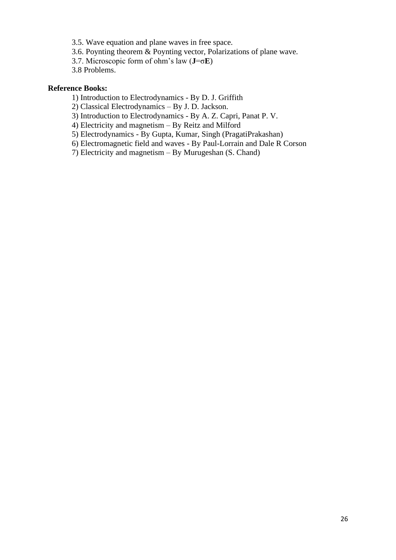- 3.5. Wave equation and plane waves in free space.
- 3.6. Poynting theorem & Poynting vector, Polarizations of plane wave.
- 3.7. Microscopic form of ohm's law (**J**=σ**E**)
- 3.8 Problems.

#### **Reference Books:**

- 1) Introduction to Electrodynamics By D. J. Griffith
- 2) Classical Electrodynamics By J. D. Jackson.
- 3) Introduction to Electrodynamics By A. Z. Capri, Panat P. V.
- 4) Electricity and magnetism By Reitz and Milford
- 5) Electrodynamics By Gupta, Kumar, Singh (PragatiPrakashan)
- 6) Electromagnetic field and waves By Paul-Lorrain and Dale R Corson
- 7) Electricity and magnetism By Murugeshan (S. Chand)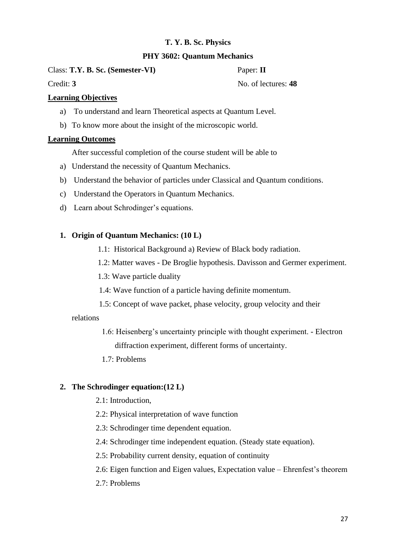# **PHY 3602: Quantum Mechanics**

Class: **T.Y. B. Sc. (Semester-VI)** Paper: **II**

# Credit: **3** No. of lectures: **48**

# **Learning Objectives**

- a) To understand and learn Theoretical aspects at Quantum Level.
- b) To know more about the insight of the microscopic world.

# **Learning Outcomes**

After successful completion of the course student will be able to

- a) Understand the necessity of Quantum Mechanics.
- b) Understand the behavior of particles under Classical and Quantum conditions.
- c) Understand the Operators in Quantum Mechanics.
- d) Learn about Schrodinger's equations.

# **1. Origin of Quantum Mechanics: (10 L)**

- 1.1: Historical Background a) Review of Black body radiation.
- 1.2: Matter waves De Broglie hypothesis. Davisson and Germer experiment.
- 1.3: Wave particle duality
- 1.4: Wave function of a particle having definite momentum.
- 1.5: Concept of wave packet, phase velocity, group velocity and their

# relations

- 1.6: Heisenberg's uncertainty principle with thought experiment. Electron diffraction experiment, different forms of uncertainty.
- 1.7: Problems

# **2. The Schrodinger equation:(12 L)**

- 2.1: Introduction,
- 2.2: Physical interpretation of wave function
- 2.3: Schrodinger time dependent equation.
- 2.4: Schrodinger time independent equation. (Steady state equation).
- 2.5: Probability current density, equation of continuity
- 2.6: Eigen function and Eigen values, Expectation value Ehrenfest's theorem
- 2.7: Problems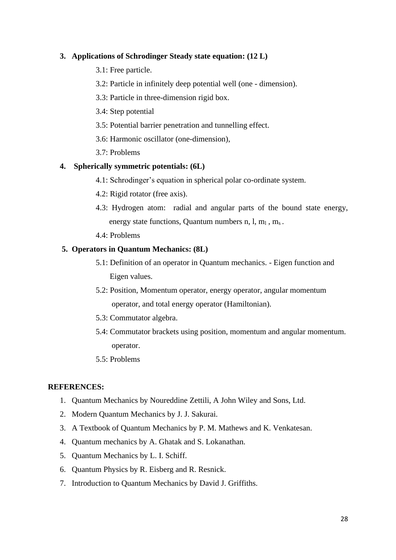# **3. Applications of Schrodinger Steady state equation: (12 L)**

- 3.1: Free particle.
- 3.2: Particle in infinitely deep potential well (one dimension).
- 3.3: Particle in three-dimension rigid box.
- 3.4: Step potential
- 3.5: Potential barrier penetration and tunnelling effect.
- 3.6: Harmonic oscillator (one-dimension),
- 3.7: Problems

#### **4. Spherically symmetric potentials: (6L)**

- 4.1: Schrodinger's equation in spherical polar co-ordinate system.
- 4.2: Rigid rotator (free axis).
- 4.3: Hydrogen atom: radial and angular parts of the bound state energy, energy state functions, Quantum numbers  $n, l, m_1, m_s$ .
- 4.4: Problems

#### **5. Operators in Quantum Mechanics: (8L)**

- 5.1: Definition of an operator in Quantum mechanics. Eigen function and Eigen values.
- 5.2: Position, Momentum operator, energy operator, angular momentum operator, and total energy operator (Hamiltonian).
- 5.3: Commutator algebra.
- 5.4: Commutator brackets using position, momentum and angular momentum. operator.
- 5.5: Problems

#### **REFERENCES:**

- 1. Quantum Mechanics by Noureddine Zettili, A John Wiley and Sons, Ltd.
- 2. Modern Quantum Mechanics by J. J. Sakurai.
- 3. A Textbook of Quantum Mechanics by P. M. Mathews and K. Venkatesan.
- 4. Quantum mechanics by A. Ghatak and S. Lokanathan.
- 5. Quantum Mechanics by L. I. Schiff.
- 6. Quantum Physics by R. Eisberg and R. Resnick.
- 7. Introduction to Quantum Mechanics by David J. Griffiths.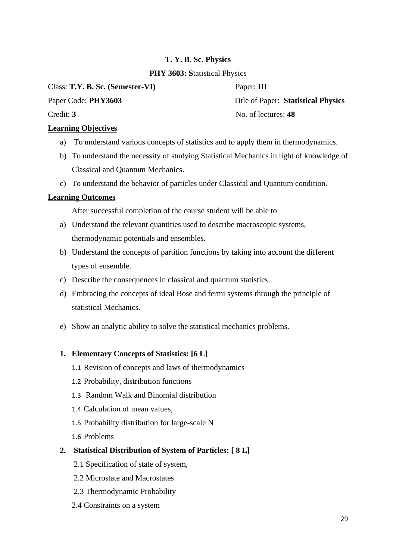# **PHY 3603: S**tatistical Physics

Class: **T.Y. B. Sc. (Semester-VI)** Paper: **III**

# **Learning Objectives**

- a) To understand various concepts of statistics and to apply them in thermodynamics.
- b) To understand the necessity of studying Statistical Mechanics in light of knowledge of Classical and Quantum Mechanics.
- c) To understand the behavior of particles under Classical and Quantum condition.

# **Learning Outcomes**

After successful completion of the course student will be able to

- a) Understand the relevant quantities used to describe macroscopic systems, thermodynamic potentials and ensembles.
- b) Understand the concepts of partition functions by taking into account the different types of ensemble.
- c) Describe the consequences in classical and quantum statistics.
- d) Embracing the concepts of ideal Bose and fermi systems through the principle of statistical Mechanics.
- e) Show an analytic ability to solve the statistical mechanics problems.

# **1. Elementary Concepts of Statistics: [6 L]**

- 1.1 Revision of concepts and laws of thermodynamics
- 1.2 Probability, distribution functions
- 1.3 Random Walk and Binomial distribution
- 1.4 Calculation of mean values,
- 1.5 Probability distribution for large-scale N
- 1.6 Problems

# **2. Statistical Distribution of System of Particles: [ 8 L]**

- 2.1 Specification of state of system,
- 2.2 Microstate and Macrostates
- 2.3 Thermodynamic Probability
- 2.4 Constraints on a system

Paper Code: **PHY3603** Title of Paper: **Statistical Physics** Credit: **3** No. of lectures: **48**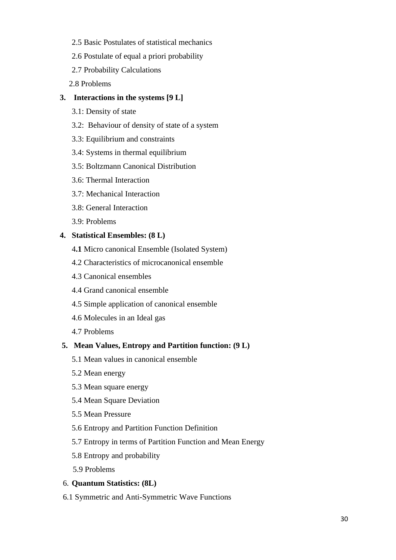- 2.5 Basic Postulates of statistical mechanics
- 2.6 Postulate of equal a priori probability
- 2.7 Probability Calculations
- 2.8 Problems

# **3. Interactions in the systems [9 L]**

- 3.1: Density of state
- 3.2: Behaviour of density of state of a system
- 3.3: Equilibrium and constraints
- 3.4: Systems in thermal equilibrium
- 3.5: Boltzmann Canonical Distribution
- 3.6: Thermal Interaction
- 3.7: Mechanical Interaction
- 3.8: General Interaction
- 3.9: Problems

### **4. Statistical Ensembles: (8 L)**

- 4**.1** Micro canonical Ensemble (Isolated System)
- 4.2 Characteristics of microcanonical ensemble
- 4.3 Canonical ensembles
- 4.4 Grand canonical ensemble
- 4.5 Simple application of canonical ensemble
- 4.6 Molecules in an Ideal gas
- 4.7 Problems

### **5. Mean Values, Entropy and Partition function: (9 L)**

- 5.1 Mean values in canonical ensemble
- 5.2 Mean energy
- 5.3 Mean square energy
- 5.4 Mean Square Deviation
- 5.5 Mean Pressure
- 5.6 Entropy and Partition Function Definition
- 5.7 Entropy in terms of Partition Function and Mean Energy
- 5.8 Entropy and probability
- 5.9 Problems

#### 6. **Quantum Statistics: (8L)**

6.1 Symmetric and Anti-Symmetric Wave Functions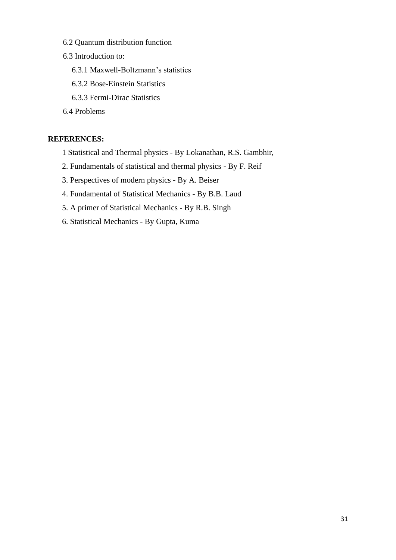- 6.2 Quantum distribution function
- 6.3 Introduction to:
	- 6.3.1 Maxwell-Boltzmann's statistics
	- 6.3.2 Bose-Einstein Statistics
	- 6.3.3 Fermi-Dirac Statistics
- 6.4 Problems

# **REFERENCES:**

- 1 Statistical and Thermal physics By Lokanathan, R.S. Gambhir,
- 2. Fundamentals of statistical and thermal physics By F. Reif
- 3. Perspectives of modern physics By A. Beiser
- 4. Fundamental of Statistical Mechanics By B.B. Laud
- 5. A primer of Statistical Mechanics By R.B. Singh
- 6. Statistical Mechanics By Gupta, Kuma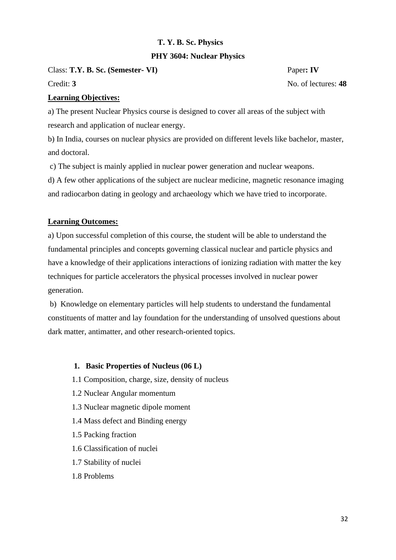# **PHY 3604: Nuclear Physics**

Class: **T.Y. B. Sc. (Semester- VI)** Paper**: IV**

Credit: **3** No. of lectures: **48** 

### **Learning Objectives:**

a) The present Nuclear Physics course is designed to cover all areas of the subject with research and application of nuclear energy.

b) In India, courses on nuclear physics are provided on different levels like bachelor, master, and doctoral.

c) The subject is mainly applied in nuclear power generation and nuclear weapons.

d) A few other applications of the subject are nuclear medicine, magnetic resonance imaging and radiocarbon dating in geology and archaeology which we have tried to incorporate.

# **Learning Outcomes:**

a) Upon successful completion of this course, the student will be able to understand the fundamental principles and concepts governing classical nuclear and particle physics and have a knowledge of their applications interactions of ionizing radiation with matter the key techniques for particle accelerators the physical processes involved in nuclear power generation.

b) Knowledge on elementary particles will help students to understand the fundamental constituents of matter and lay foundation for the understanding of unsolved questions about dark matter, antimatter, and other research-oriented topics.

#### **1. Basic Properties of Nucleus (06 L)**

- 1.1 Composition, charge, size, density of nucleus
- 1.2 Nuclear Angular momentum
- 1.3 Nuclear magnetic dipole moment
- 1.4 Mass defect and Binding energy
- 1.5 Packing fraction
- 1.6 Classification of nuclei
- 1.7 Stability of nuclei
- 1.8 Problems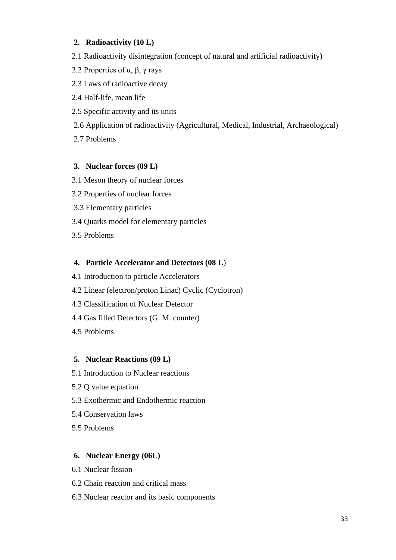# **2. Radioactivity (10 L)**

- 2.1 Radioactivity disintegration (concept of natural and artificial radioactivity)
- 2.2 Properties of  $\alpha$ ,  $\beta$ ,  $\gamma$  rays
- 2.3 Laws of radioactive decay
- 2.4 Half-life, mean life
- 2.5 Specific activity and its units
- 2.6 Application of radioactivity (Agricultural, Medical, Industrial, Archaeological)
- 2.7 Problems

# **3. Nuclear forces (09 L)**

- 3.1 Meson theory of nuclear forces
- 3.2 Properties of nuclear forces
- 3.3 Elementary particles
- 3.4 Quarks model for elementary particles
- 3.5 Problems

# **4. Particle Accelerator and Detectors (08 L**)

- 4.1 Introduction to particle Accelerators
- 4.2 Linear (electron/proton Linac) Cyclic (Cyclotron)
- 4.3 Classification of Nuclear Detector
- 4.4 Gas filled Detectors (G. M. counter)
- 4.5 Problems

# **5. Nuclear Reactions (09 L)**

- 5.1 Introduction to Nuclear reactions
- 5.2 Q value equation
- 5.3 Exothermic and Endothermic reaction
- 5.4 Conservation laws
- 5.5 Problems

# **6. Nuclear Energy (06L)**

- 6.1 Nuclear fission
- 6.2 Chain reaction and critical mass
- 6.3 Nuclear reactor and its basic components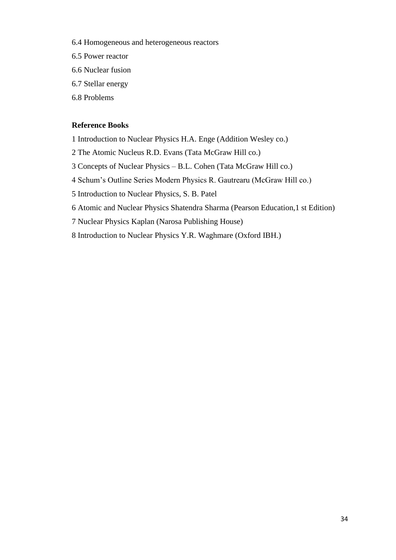- 6.4 Homogeneous and heterogeneous reactors
- 6.5 Power reactor
- 6.6 Nuclear fusion
- 6.7 Stellar energy
- 6.8 Problems

### **Reference Books**

- 1 Introduction to Nuclear Physics H.A. Enge (Addition Wesley co.)
- 2 The Atomic Nucleus R.D. Evans (Tata McGraw Hill co.)
- 3 Concepts of Nuclear Physics B.L. Cohen (Tata McGraw Hill co.)
- 4 Schum's Outline Series Modern Physics R. Gautrearu (McGraw Hill co.)
- 5 Introduction to Nuclear Physics, S. B. Patel
- 6 Atomic and Nuclear Physics Shatendra Sharma (Pearson Education,1 st Edition)
- 7 Nuclear Physics Kaplan (Narosa Publishing House)
- 8 Introduction to Nuclear Physics Y.R. Waghmare (Oxford IBH.)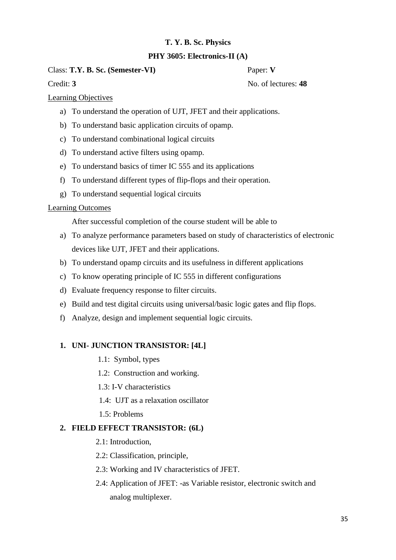# **PHY 3605: Electronics-II (A)**

Class: **T.Y. B. Sc. (Semester-VI)** Paper: **V**

Credit: **3** No. of lectures: **48** 

Learning Objectives

- a) To understand the operation of UJT, JFET and their applications.
- b) To understand basic application circuits of opamp.
- c) To understand combinational logical circuits
- d) To understand active filters using opamp.
- e) To understand basics of timer IC 555 and its applications
- f) To understand different types of flip-flops and their operation.
- g) To understand sequential logical circuits

# Learning Outcomes

After successful completion of the course student will be able to

- a) To analyze performance parameters based on study of characteristics of electronic devices like UJT, JFET and their applications.
- b) To understand opamp circuits and its usefulness in different applications
- c) To know operating principle of IC 555 in different configurations
- d) Evaluate frequency response to filter circuits.
- e) Build and test digital circuits using universal/basic logic gates and flip flops.
- f) Analyze, design and implement sequential logic circuits.

# **1. UNI- JUNCTION TRANSISTOR: [4L]**

- 1.1: Symbol, types
- 1.2: Construction and working.
- 1.3: I-V characteristics
- 1.4: UJT as a relaxation oscillator
- 1.5: Problems

# **2. FIELD EFFECT TRANSISTOR: (6L)**

- 2.1: Introduction,
- 2.2: Classification, principle,
- 2.3: Working and IV characteristics of JFET.
- 2.4: Application of JFET: -as Variable resistor, electronic switch and analog multiplexer.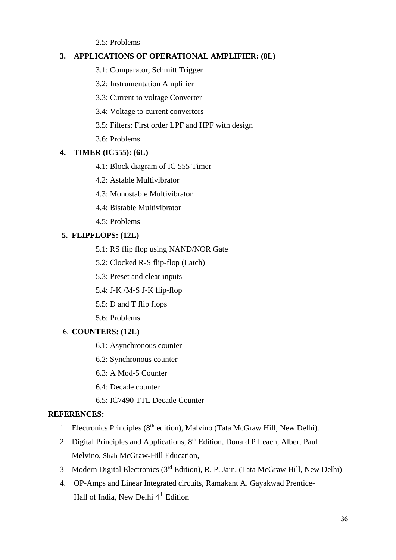2.5: Problems

# **3. APPLICATIONS OF OPERATIONAL AMPLIFIER: (8L)**

- 3.1: Comparator, Schmitt Trigger
- 3.2: Instrumentation Amplifier

3.3: Current to voltage Converter

- 3.4: Voltage to current convertors
- 3.5: Filters: First order LPF and HPF with design
- 3.6: Problems

# **4. TIMER (IC555): (6L)**

- 4.1: Block diagram of IC 555 Timer
- 4.2: Astable Multivibrator
- 4.3: Monostable Multivibrator
- 4.4: Bistable Multivibrator
- 4.5: Problems

# **5. FLIPFLOPS: (12L)**

- 5.1: RS flip flop using NAND/NOR Gate
- 5.2: Clocked R-S flip-flop (Latch)
- 5.3: Preset and clear inputs
- 5.4: J-K /M-S J-K flip-flop
- 5.5: D and T flip flops
- 5.6: Problems

# 6. **COUNTERS: (12L)**

- 6.1: Asynchronous counter
- 6.2: Synchronous counter
- 6.3: A Mod-5 Counter
- 6.4: Decade counter
- 6.5: IC7490 TTL Decade Counter

# **REFERENCES:**

- 1 Electronics Principles (8th edition), Malvino (Tata McGraw Hill, New Delhi).
- 2 Digital Principles and Applications, 8<sup>th</sup> Edition, Donald P Leach, Albert Paul Melvino, Shah McGraw-Hill Education,
- 3 Modern Digital Electronics (3rd Edition), R. P. Jain, (Tata McGraw Hill, New Delhi)
- 4. OP-Amps and Linear Integrated circuits, Ramakant A. Gayakwad Prentice- Hall of India, New Delhi 4<sup>th</sup> Edition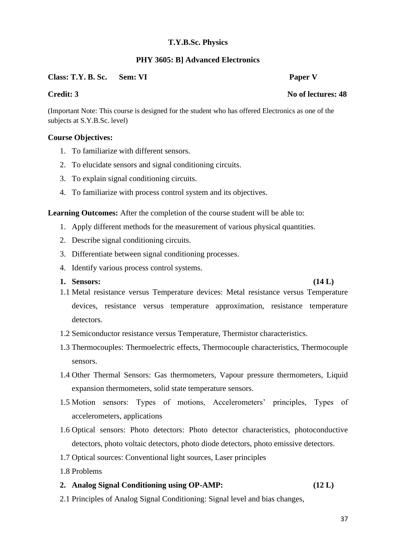#### **PHY 3605: B] Advanced Electronics**

### **Class: T.Y. B. Sc. Sem: VI Paper V**

(Important Note: This course is designed for the student who has offered Electronics as one of the subjects at S.Y.B.Sc. level)

#### **Course Objectives:**

- 1. To familiarize with different sensors.
- 2. To elucidate sensors and signal conditioning circuits.
- 3. To explain signal conditioning circuits.
- 4. To familiarize with process control system and its objectives.

**Learning Outcomes:** After the completion of the course student will be able to:

- 1. Apply different methods for the measurement of various physical quantities.
- 2. Describe signal conditioning circuits.
- 3. Differentiate between signal conditioning processes.
- 4. Identify various process control systems.

#### **1. Sensors: (14 L)**

- 1.1 Metal resistance versus Temperature devices: Metal resistance versus Temperature devices, resistance versus temperature approximation, resistance temperature detectors.
- 1.2 Semiconductor resistance versus Temperature, Thermistor characteristics.
- 1.3 Thermocouples: Thermoelectric effects, Thermocouple characteristics, Thermocouple sensors.
- 1.4 Other Thermal Sensors: Gas thermometers, Vapour pressure thermometers, Liquid expansion thermometers, solid state temperature sensors.
- 1.5 Motion sensors: Types of motions, Accelerometers' principles, Types of accelerometers, applications
- 1.6 Optical sensors: Photo detectors: Photo detector characteristics, photoconductive detectors, photo voltaic detectors, photo diode detectors, photo emissive detectors.
- 1.7 Optical sources: Conventional light sources, Laser principles
- 1.8 Problems

#### **2. Analog Signal Conditioning using OP-AMP: (12 L)**

2.1 Principles of Analog Signal Conditioning: Signal level and bias changes,

# **Credit: 3** No of lectures: 48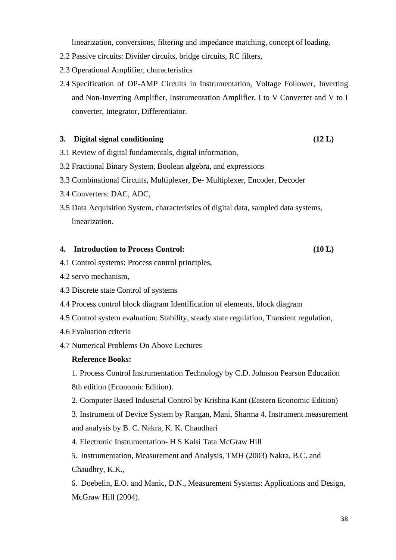linearization, conversions, filtering and impedance matching, concept of loading.

- 2.2 Passive circuits: Divider circuits, bridge circuits, RC filters,
- 2.3 Operational Amplifier, characteristics
- 2.4 Specification of OP-AMP Circuits in Instrumentation, Voltage Follower, Inverting and Non-Inverting Amplifier, Instrumentation Amplifier, I to V Converter and V to I converter, Integrator, Differentiator.

#### **3. Digital signal conditioning (12 L)**

- 3.1 Review of digital fundamentals, digital information,
- 3.2 Fractional Binary System, Boolean algebra, and expressions
- 3.3 Combinational Circuits, Multiplexer, De- Multiplexer, Encoder, Decoder
- 3.4 Converters: DAC, ADC,
- 3.5 Data Acquisition System, characteristics of digital data, sampled data systems, linearization.

#### **4. Introduction to Process Control: (10 L)**

- 4.1 Control systems: Process control principles,
- 4.2 servo mechanism,
- 4.3 Discrete state Control of systems
- 4.4 Process control block diagram Identification of elements, block diagram
- 4.5 Control system evaluation: Stability, steady state regulation, Transient regulation,
- 4.6 Evaluation criteria
- 4.7 Numerical Problems On Above Lectures

### **Reference Books:**

1. Process Control Instrumentation Technology by C.D. Johnson Pearson Education 8th edition (Economic Edition).

2. Computer Based Industrial Control by Krishna Kant (Eastern Economic Edition)

3. Instrument of Device System by Rangan, Mani, Sharma 4. Instrument measurement and analysis by B. C. Nakra, K. K. Chaudhari

4. Electronic Instrumentation- H S Kalsi Tata McGraw Hill

5. Instrumentation, Measurement and Analysis, TMH (2003) Nakra, B.C. and Chaudhry, K.K.,

6. Doebelin, E.O. and Manic, D.N., Measurement Systems: Applications and Design, McGraw Hill (2004).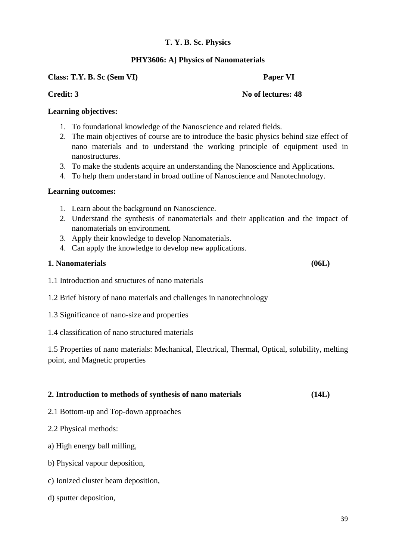### **PHY3606: A] Physics of Nanomaterials**

**Class: T.Y. B. Sc (Sem VI) Paper VI** 

### **Credit: 3** No of lectures: 48

### **Learning objectives:**

- 1. To foundational knowledge of the Nanoscience and related fields.
- 2. The main objectives of course are to introduce the basic physics behind size effect of nano materials and to understand the working principle of equipment used in nanostructures.
- 3. To make the students acquire an understanding the Nanoscience and Applications.
- 4. To help them understand in broad outline of Nanoscience and Nanotechnology.

#### **Learning outcomes:**

- 1. Learn about the background on Nanoscience.
- 2. Understand the synthesis of nanomaterials and their application and the impact of nanomaterials on environment.
- 3. Apply their knowledge to develop Nanomaterials.
- 4. Can apply the knowledge to develop new applications.

### **1. Nanomaterials (06L)**

- 1.1 Introduction and structures of nano materials
- 1.2 Brief history of nano materials and challenges in nanotechnology
- 1.3 Significance of nano-size and properties
- 1.4 classification of nano structured materials

1.5 Properties of nano materials: Mechanical, Electrical, Thermal, Optical, solubility, melting point, and Magnetic properties

# **2. Introduction to methods of synthesis of nano materials (14L)**

- 2.1 Bottom-up and Top-down approaches
- 2.2 Physical methods:
- a) High energy ball milling,
- b) Physical vapour deposition,
- c) Ionized cluster beam deposition,
- d) sputter deposition,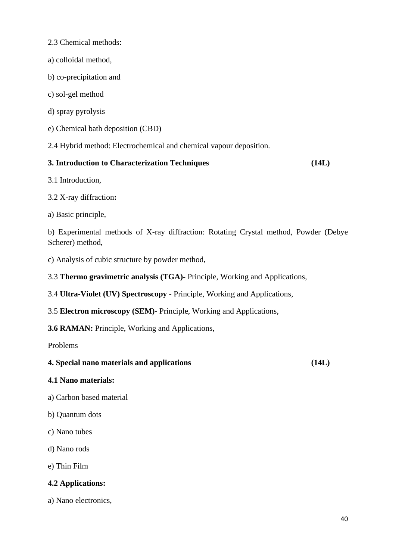- 2.3 Chemical methods:
- a) colloidal method,
- b) co-precipitation and
- c) sol-gel method
- d) spray pyrolysis
- e) Chemical bath deposition (CBD)

2.4 Hybrid method: Electrochemical and chemical vapour deposition.

# **3. Introduction to Characterization Techniques (14L)**

3.1 Introduction,

3.2 X-ray diffraction**:**

a) Basic principle,

b) Experimental methods of X-ray diffraction: Rotating Crystal method, Powder (Debye Scherer) method,

c) Analysis of cubic structure by powder method,

3.3 **Thermo gravimetric analysis (TGA)-** Principle, Working and Applications,

3.4 **Ultra-Violet (UV) Spectroscopy** - Principle, Working and Applications,

3.5 **Electron microscopy (SEM)-** Principle, Working and Applications,

**3.6 RAMAN:** Principle, Working and Applications,

Problems

# **4. Special nano materials and applications (14L)**

# **4.1 Nano materials:**

- a) Carbon based material
- b) Quantum dots
- c) Nano tubes
- d) Nano rods
- e) Thin Film

# **4.2 Applications:**

a) Nano electronics,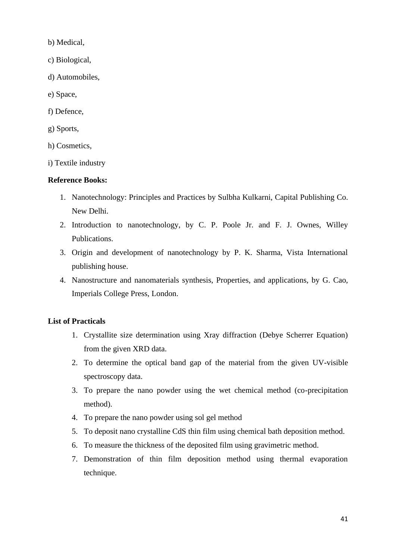b) Medical,

- c) Biological,
- d) Automobiles,
- e) Space,
- f) Defence,
- g) Sports,
- h) Cosmetics,
- i) Textile industry

# **Reference Books:**

- 1. Nanotechnology: Principles and Practices by Sulbha Kulkarni, Capital Publishing Co. New Delhi.
- 2. Introduction to nanotechnology, by C. P. Poole Jr. and F. J. Ownes, Willey Publications.
- 3. Origin and development of nanotechnology by P. K. Sharma, Vista International publishing house.
- 4. Nanostructure and nanomaterials synthesis, Properties, and applications, by G. Cao, Imperials College Press, London.

# **List of Practicals**

- 1. Crystallite size determination using Xray diffraction (Debye Scherrer Equation) from the given XRD data.
- 2. To determine the optical band gap of the material from the given UV-visible spectroscopy data.
- 3. To prepare the nano powder using the wet chemical method (co-precipitation method).
- 4. To prepare the nano powder using sol gel method
- 5. To deposit nano crystalline CdS thin film using chemical bath deposition method.
- 6. To measure the thickness of the deposited film using gravimetric method.
- 7. Demonstration of thin film deposition method using thermal evaporation technique.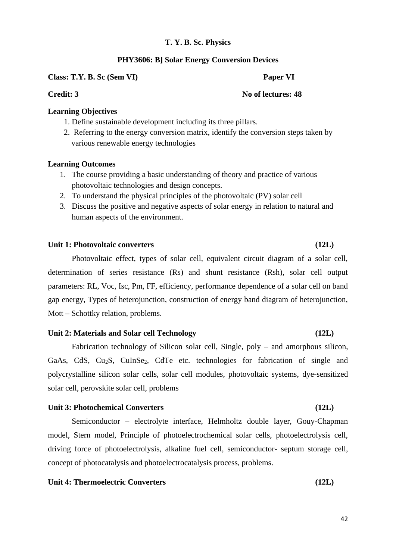#### **PHY3606: B] Solar Energy Conversion Devices**

**Class: T.Y. B. Sc (Sem VI) Paper VI** 

#### **Credit: 3** No of lectures: 48

### **Learning Objectives**

- 1. Define sustainable development including its three pillars.
- 2. Referring to the energy conversion matrix, identify the conversion steps taken by various renewable energy technologies

#### **Learning Outcomes**

- 1. The course providing a basic understanding of theory and practice of various photovoltaic technologies and design concepts.
- 2. To understand the physical principles of the photovoltaic (PV) solar cell
- 3. Discuss the positive and negative aspects of solar energy in relation to natural and human aspects of the environment.

#### **Unit 1: Photovoltaic converters (12L)**

Photovoltaic effect, types of solar cell, equivalent circuit diagram of a solar cell, determination of series resistance (Rs) and shunt resistance (Rsh), solar cell output parameters: RL, Voc, Isc, Pm, FF, efficiency, performance dependence of a solar cell on band gap energy, Types of heterojunction, construction of energy band diagram of heterojunction, Mott – Schottky relation, problems.

#### **Unit 2: Materials and Solar cell Technology (12L)**

Fabrication technology of Silicon solar cell, Single, poly – and amorphous silicon, GaAs, CdS, Cu<sub>2</sub>S, CuInSe<sub>2</sub>, CdTe etc. technologies for fabrication of single and polycrystalline silicon solar cells, solar cell modules, photovoltaic systems, dye-sensitized solar cell, perovskite solar cell, problems

### Unit 3: Photochemical Converters (12L)

Semiconductor – electrolyte interface, Helmholtz double layer, Gouy-Chapman model, Stern model, Principle of photoelectrochemical solar cells, photoelectrolysis cell, driving force of photoelectrolysis, alkaline fuel cell, semiconductor- septum storage cell, concept of photocatalysis and photoelectrocatalysis process, problems.

#### **Unit 4: Thermoelectric Converters (12L)**

42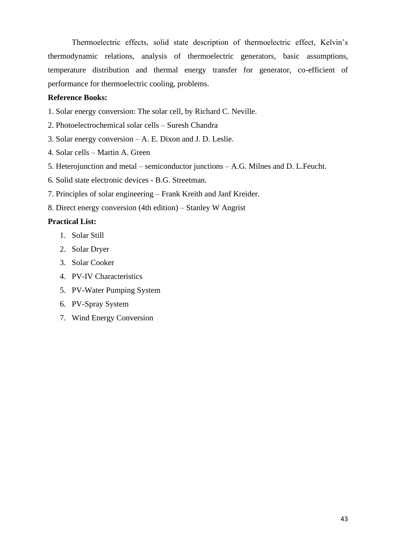Thermoelectric effects, solid state description of thermoelectric effect, Kelvin's thermodynamic relations, analysis of thermoelectric generators, basic assumptions, temperature distribution and thermal energy transfer for generator, co-efficient of performance for thermoelectric cooling, problems.

#### **Reference Books:**

- 1. Solar energy conversion: The solar cell, by Richard C. Neville.
- 2. Photoelectrochemical solar cells Suresh Chandra
- 3. Solar energy conversion A. E. Dixon and J. D. Leslie.
- 4. Solar cells Martin A. Green
- 5. Heterojunction and metal semiconductor junctions A.G. Milnes and D. L.Feucht.
- 6. Solid state electronic devices B.G. Streetman.
- 7. Principles of solar engineering Frank Kreith and Janf Kreider.
- 8. Direct energy conversion (4th edition) Stanley W Angrist

### **Practical List:**

- 1. Solar Still
- 2. Solar Dryer
- 3. Solar Cooker
- 4. PV-IV Characteristics
- 5. PV-Water Pumping System
- 6. PV-Spray System
- 7. Wind Energy Conversion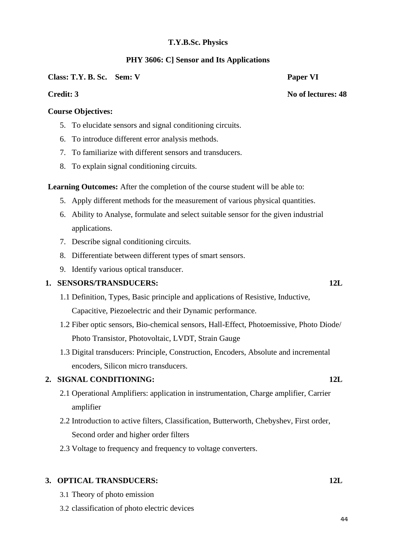### **PHY 3606: C] Sensor and Its Applications**

#### **Class: T.Y. B. Sc. Sem: V Paper VI**

### **Credit: 3** No of lectures: 48

# **Course Objectives:**

- 5. To elucidate sensors and signal conditioning circuits.
- 6. To introduce different error analysis methods.
- 7. To familiarize with different sensors and transducers.
- 8. To explain signal conditioning circuits.

**Learning Outcomes:** After the completion of the course student will be able to:

- 5. Apply different methods for the measurement of various physical quantities.
- 6. Ability to Analyse, formulate and select suitable sensor for the given industrial applications.
- 7. Describe signal conditioning circuits.
- 8. Differentiate between different types of smart sensors.
- 9. Identify various optical transducer.

# **1. SENSORS/TRANSDUCERS: 12L**

- 1.1 Definition, Types, Basic principle and applications of Resistive, Inductive, Capacitive, Piezoelectric and their Dynamic performance.
- 1.2 Fiber optic sensors, Bio-chemical sensors, Hall-Effect, Photoemissive, Photo Diode/ Photo Transistor, Photovoltaic, LVDT, Strain Gauge
- 1.3 Digital transducers: Principle, Construction, Encoders, Absolute and incremental encoders, Silicon micro transducers.

# **2. SIGNAL CONDITIONING: 12L**

- 2.1 Operational Amplifiers: application in instrumentation, Charge amplifier, Carrier amplifier
- 2.2 Introduction to active filters, Classification, Butterworth, Chebyshev, First order, Second order and higher order filters
- 2.3 Voltage to frequency and frequency to voltage converters.

### **3. OPTICAL TRANSDUCERS: 12L**

- 3.1 Theory of photo emission
- 3.2 classification of photo electric devices

#### 44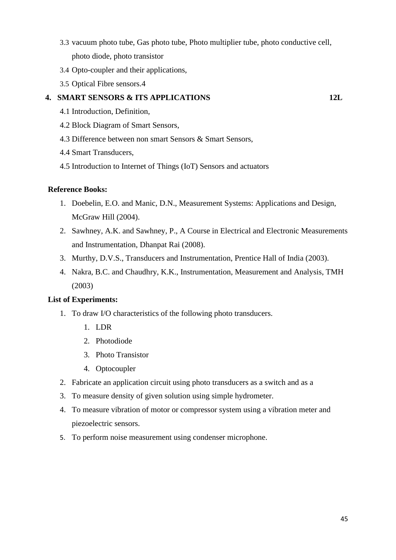- 3.3 vacuum photo tube, Gas photo tube, Photo multiplier tube, photo conductive cell, photo diode, photo transistor
- 3.4 Opto-coupler and their applications,
- 3.5 Optical Fibre sensors.4

# **4. SMART SENSORS & ITS APPLICATIONS 12L**

- 4.1 Introduction, Definition,
- 4.2 Block Diagram of Smart Sensors,
- 4.3 Difference between non smart Sensors & Smart Sensors,
- 4.4 Smart Transducers,
- 4.5 Introduction to Internet of Things (IoT) Sensors and actuators

### **Reference Books:**

- 1. Doebelin, E.O. and Manic, D.N., Measurement Systems: Applications and Design, McGraw Hill (2004).
- 2. Sawhney, A.K. and Sawhney, P., A Course in Electrical and Electronic Measurements and Instrumentation, Dhanpat Rai (2008).
- 3. Murthy, D.V.S., Transducers and Instrumentation, Prentice Hall of India (2003).
- 4. Nakra, B.C. and Chaudhry, K.K., Instrumentation, Measurement and Analysis, TMH (2003)

#### **List of Experiments:**

- 1. To draw I/O characteristics of the following photo transducers.
	- 1. LDR
	- 2. Photodiode
	- 3. Photo Transistor
	- 4. Optocoupler
- 2. Fabricate an application circuit using photo transducers as a switch and as a
- 3. To measure density of given solution using simple hydrometer.
- 4. To measure vibration of motor or compressor system using a vibration meter and piezoelectric sensors.
- 5. To perform noise measurement using condenser microphone.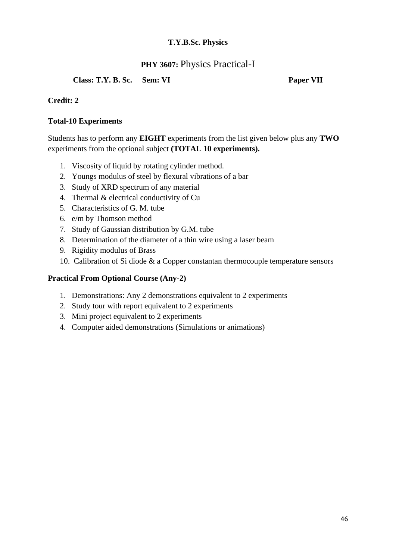# **PHY 3607:** Physics Practical-I

**Class: T.Y. B. Sc. Sem: VI Paper VII**

# **Credit: 2**

# **Total-10 Experiments**

Students has to perform any **EIGHT** experiments from the list given below plus any **TWO**  experiments from the optional subject **(TOTAL 10 experiments).**

- 1. Viscosity of liquid by rotating cylinder method.
- 2. Youngs modulus of steel by flexural vibrations of a bar
- 3. Study of XRD spectrum of any material
- 4. Thermal & electrical conductivity of Cu
- 5. Characteristics of G. M. tube
- 6. e/m by Thomson method
- 7. Study of Gaussian distribution by G.M. tube
- 8. Determination of the diameter of a thin wire using a laser beam
- 9. Rigidity modulus of Brass
- 10. Calibration of Si diode & a Copper constantan thermocouple temperature sensors

# **Practical From Optional Course (Any-2)**

- 1. Demonstrations: Any 2 demonstrations equivalent to 2 experiments
- 2. Study tour with report equivalent to 2 experiments
- 3. Mini project equivalent to 2 experiments
- 4. Computer aided demonstrations (Simulations or animations)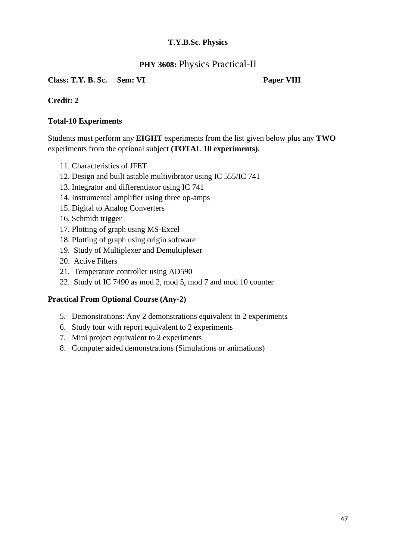# **PHY 3608: Physics Practical-II**

# **Class: T.Y. B. Sc. Sem: VI Paper VIII**

# **Credit: 2**

# **Total-10 Experiments**

Students must perform any **EIGHT** experiments from the list given below plus any **TWO**  experiments from the optional subject **(TOTAL 10 experiments).**

- 11. Characteristics of JFET
- 12. Design and built astable multivibrator using IC 555/IC 741
- 13. Integrator and differentiator using IC 741
- 14. Instrumental amplifier using three op-amps
- 15. Digital to Analog Converters
- 16. Schmidt trigger
- 17. Plotting of graph using MS-Excel
- 18. Plotting of graph using origin software
- 19. Study of Multiplexer and Demultiplexer
- 20. Active Filters
- 21. Temperature controller using AD590
- 22. Study of IC 7490 as mod 2, mod 5, mod 7 and mod 10 counter

# **Practical From Optional Course (Any-2)**

- 5. Demonstrations: Any 2 demonstrations equivalent to 2 experiments
- 6. Study tour with report equivalent to 2 experiments
- 7. Mini project equivalent to 2 experiments
- 8. Computer aided demonstrations (Simulations or animations)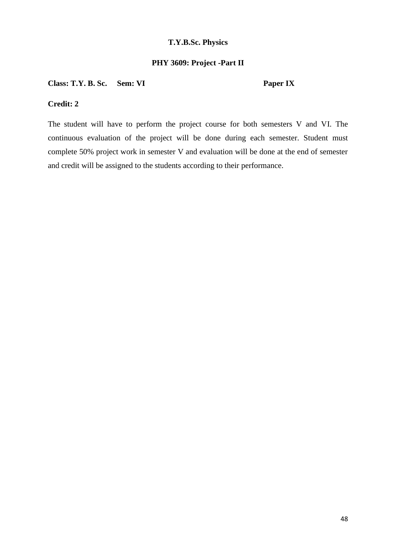# **PHY 3609: Project -Part II**

# **Class: T.Y. B. Sc. Sem: VI Paper IX**

# **Credit: 2**

The student will have to perform the project course for both semesters V and VI. The continuous evaluation of the project will be done during each semester. Student must complete 50% project work in semester V and evaluation will be done at the end of semester and credit will be assigned to the students according to their performance.